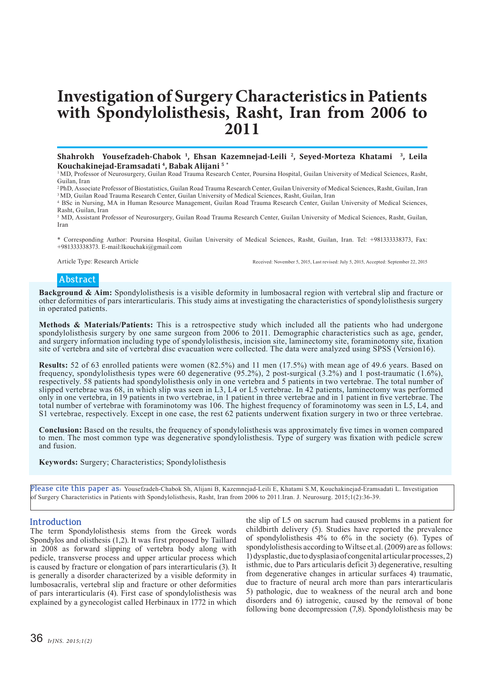# **Investigation of Surgery Characteristics in Patients with Spondylolisthesis, Rasht, Iran from 2006 to 2011**

## **Shahrokh Yousefzadeh-Chabok 1, Ehsan Kazemnejad-Leili 2, Seyed-Morteza Khatami 3, Leila Kouchakinejad-Eramsadati 4, Babak Alijani 5 \***

1 MD, Professor of Neurosurgery, Guilan Road Trauma Research Center, Poursina Hospital, Guilan University of Medical Sciences, Rasht, Guilan, Iran

2 PhD, Associate Professor of Biostatistics, Guilan Road Trauma Research Center, Guilan University of Medical Sciences, Rasht, Guilan, Iran <sup>3</sup> MD, Guilan Road Trauma Research Center, Guilan University of Medical Sciences, Rasht, Guilan, Iran

4 BSc in Nursing, MA in Human Resource Management, Guilan Road Trauma Research Center, Guilan University of Medical Sciences, Rasht, Guilan, Iran

5 MD, Assistant Professor of Neurosurgery, Guilan Road Trauma Research Center, Guilan University of Medical Sciences, Rasht, Guilan, Iran

\* Corresponding Author: Poursina Hospital, Guilan University of Medical Sciences, Rasht, Guilan, Iran. Tel: +981333338373, Fax: +981333338373. E-mail:lkouchaki@gmail.com

Article Type: Research Article **Received: November 5, 2015, Last revised: July 5, 2015**, Accepted: September 22, 2015

# **Abstract**

**Background & Aim:** Spondylolisthesis is a visible deformity in lumbosacral region with vertebral slip and fracture or other deformities of pars interarticularis. This study aims at investigating the characteristics of spondylolisthesis surgery in operated patients.

**Methods & Materials/Patients:** This is a retrospective study which included all the patients who had undergone spondylolisthesis surgery by one same surgeon from 2006 to 2011. Demographic characteristics such as age, gender, and surgery information including type of spondylolisthesis, incision site, laminectomy site, foraminotomy site, fixation site of vertebra and site of vertebral disc evacuation were collected. The data were analyzed using SPSS (Version16).

**Results:** 52 of 63 enrolled patients were women (82.5%) and 11 men (17.5%) with mean age of 49.6 years. Based on frequency, spondylolisthesis types were 60 degenerative (95.2%), 2 post-surgical (3.2%) and 1 post-traumatic (1.6%), respectively. 58 patients had spondylolisthesis only in one vertebra and 5 patients in two vertebrae. The total number of slipped vertebrae was 68, in which slip was seen in L3, L4 or L5 vertebrae. In 42 patients, laminectomy was performed only in one vertebra, in 19 patients in two vertebrae, in 1 patient in three vertebrae and in 1 patient in five vertebrae. The total number of vertebrae with foraminotomy was 106. The highest frequency of foraminotomy was seen in L5, L4, and S1 vertebrae, respectively. Except in one case, the rest 62 patients underwent fixation surgery in two or three vertebrae.

**Conclusion:** Based on the results, the frequency of spondylolisthesis was approximately five times in women compared to men. The most common type was degenerative spondylolisthesis. Type of surgery was fixation with pedicle screw and fusion.

**Keywords:** Surgery; Characteristics; Spondylolisthesis

**Please cite this paper as:** Yousefzadeh-Chabok Sh, Alijani B, Kazemnejad-Leili E, Khatami S.M, Kouchakinejad-Eramsadati L. Investigation of Surgery Characteristics in Patients with Spondylolisthesis, Rasht, Iran from 2006 to 2011.Iran. J. Neurosurg. 2015;1(2):36-39.

# **Introduction**

The term Spondylolisthesis stems from the Greek words Spondylos and olisthesis (1,2). It was first proposed by Taillard in 2008 as forward slipping of vertebra body along with pedicle, transverse process and upper articular process which is caused by fracture or elongation of pars interarticularis (3). It is generally a disorder characterized by a visible deformity in lumbosacralis, vertebral slip and fracture or other deformities of pars interarticularis (4). First case of spondylolisthesis was explained by a gynecologist called Herbinaux in 1772 in which

the slip of L5 on sacrum had caused problems in a patient for childbirth delivery (5). Studies have reported the prevalence of spondylolisthesis 4% to 6% in the society (6). Types of spondylolisthesis according to Wiltse et.al. (2009) are as follows: 1) dysplastic, due to dysplasia of congenital articular processes, 2) isthmic, due to Pars articularis deficit 3) degenerative, resulting from degenerative changes in articular surfaces 4) traumatic, due to fracture of neural arch more than pars interarticularis 5) pathologic, due to weakness of the neural arch and bone disorders and 6) iatrogenic, caused by the removal of bone following bone decompression (7,8). Spondylolisthesis may be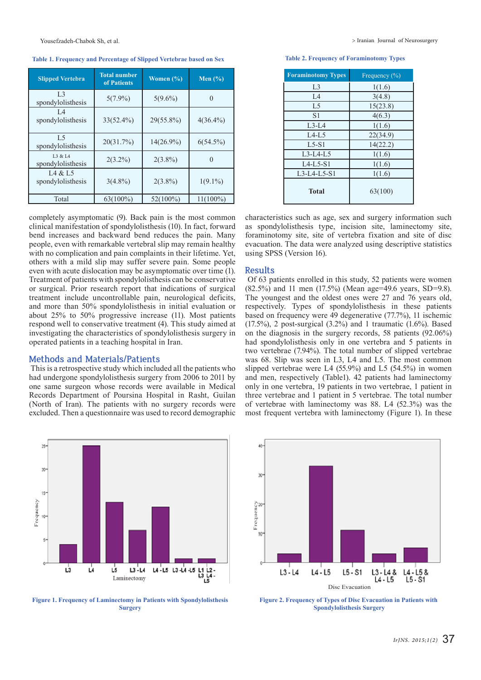#### Yousefzadeh-Chabok Sh, et al.

## **Table 1. Frequency and Percentage of Slipped Vertebrae based on Sex Table 2. Frequency of Foraminotomy Types**

| <b>Slipped Vertebra</b>             | <b>Total number</b><br>of Patients | Women $(\% )$ | Men $(\% )$ |
|-------------------------------------|------------------------------------|---------------|-------------|
| L <sub>3</sub><br>spondylolisthesis | $5(7.9\%)$                         | $5(9.6\%)$    | $\theta$    |
| I 4<br>spondylolisthesis            | $33(52.4\%)$                       | 29(55.8%)     | $4(36.4\%)$ |
| L.5<br>spondylolisthesis            | 20(31.7%)                          | $14(26.9\%)$  | $6(54.5\%)$ |
| L3 & L4<br>spondylolisthesis        | $2(3.2\%)$                         | $2(3.8\%)$    | $\theta$    |
| L4 & L5<br>spondylolisthesis        | $3(4.8\%)$                         | $2(3.8\%)$    | $1(9.1\%)$  |
| Total                               | $63(100\%)$                        | $52(100\%)$   | $11(100\%)$ |

completely asymptomatic (9). Back pain is the most common clinical manifestation of spondylolisthesis (10). In fact, forward bend increases and backward bend reduces the pain. Many people, even with remarkable vertebral slip may remain healthy with no complication and pain complaints in their lifetime. Yet, others with a mild slip may suffer severe pain. Some people even with acute dislocation may be asymptomatic over time (1). Treatment of patients with spondylolisthesis can be conservative or surgical. Prior research report that indications of surgical treatment include uncontrollable pain, neurological deficits, and more than 50% spondylolisthesis in initial evaluation or about 25% to 50% progressive increase (11). Most patients respond well to conservative treatment (4). This study aimed at investigating the characteristics of spondylolisthesis surgery in operated patients in a teaching hospital in Iran.

### **Methods and Materials/Patients**

 This is a retrospective study which included all the patients who had undergone spondylolisthesis surgery from 2006 to 2011 by one same surgeon whose records were available in Medical Records Department of Poursina Hospital in Rasht, Guilan (North of Iran). The patients with no surgery records were excluded. Then a questionnaire was used to record demographic



| <b>Foraminotomy Types</b> | Frequency $\overline{(\%)}$ |
|---------------------------|-----------------------------|
| L3                        | 1(1.6)                      |
| L4                        | 3(4.8)                      |
| L <sub>5</sub>            | 15(23.8)                    |
| S <sub>1</sub>            | 4(6.3)                      |
| $L3-L4$                   | 1(1.6)                      |
| $L4-L5$                   | 22(34.9)                    |
| $L$ 5-S1                  | 14(22.2)                    |
| $L3-L4-L5$                | 1(1.6)                      |
| $L4-L5-S1$                | 1(1.6)                      |
| $L3-L4-L5-S1$             | 1(1.6)                      |
| <b>Total</b>              | 63(100)                     |

characteristics such as age, sex and surgery information such as spondylolisthesis type, incision site, laminectomy site, foraminotomy site, site of vertebra fixation and site of disc evacuation. The data were analyzed using descriptive statistics using SPSS (Version 16).

#### **Results**

 Of 63 patients enrolled in this study, 52 patients were women  $(82.5\%)$  and 11 men  $(17.5\%)$  (Mean age=49.6 years, SD=9.8). The youngest and the oldest ones were 27 and 76 years old, respectively. Types of spondylolisthesis in these patients based on frequency were 49 degenerative (77.7%), 11 ischemic (17.5%), 2 post-surgical (3.2%) and 1 traumatic (1.6%). Based on the diagnosis in the surgery records, 58 patients (92.06%) had spondylolisthesis only in one vertebra and 5 patients in two vertebrae (7.94%). The total number of slipped vertebrae was 68. Slip was seen in L3, L4 and L5. The most common slipped vertebrae were L4 (55.9%) and L5 (54.5%) in women and men, respectively (Table1). 42 patients had laminectomy only in one vertebra, 19 patients in two vertebrae, 1 patient in three vertebrae and 1 patient in 5 vertebrae. The total number of vertebrae with laminectomy was 88. L4 (52.3%) was the most frequent vertebra with laminectomy (Figure 1). In these



**Figure 1. Frequency of Laminectomy in Patients with Spondylolisthesis Surgery** 



**Figure 2. Frequency of Types of Disc Evacuation in Patients with Spondylolisthesis Surgery**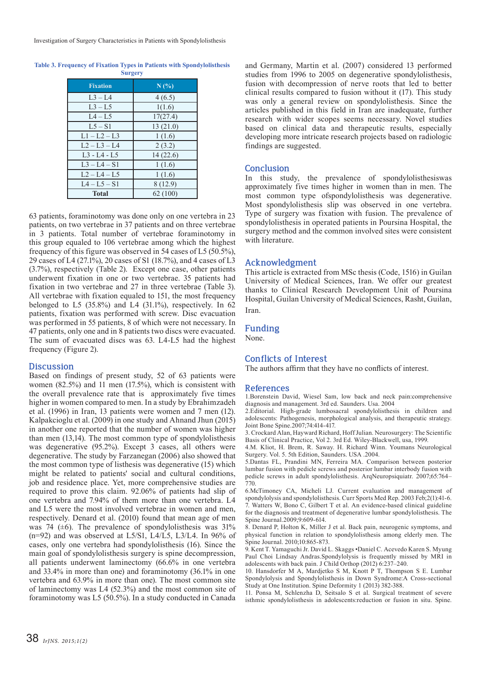| <b>Table 3. Frequency of Fixation Types in Patients with Spondylolisthesis</b> |
|--------------------------------------------------------------------------------|
| <b>Surgery</b>                                                                 |

| <b>Fixation</b>   | N(%)     |
|-------------------|----------|
| $L3 - L4$         | 4(6.5)   |
| $L3 - L5$         | 1(1.6)   |
| $L4 - L5$         | 17(27.4) |
| $1.5 - S1$        | 13(21.0) |
| $L1 - L2 - L3$    | 1(1.6)   |
| $1.2 - 1.3 - 1.4$ | 2(3.2)   |
| $1.3 - 1.4 - 1.5$ | 14(22.6) |
| $L3 - L4 - S1$    | 1(1.6)   |
| $L2 - L4 - L5$    | 1(1.6)   |
| $IA - I.5 - S1$   | 8(12.9)  |
| <b>Total</b>      | 62(100)  |

63 patients, foraminotomy was done only on one vertebra in 23 patients, on two vertebrae in 37 patients and on three vertebrae in 3 patients. Total number of vertebrae foraminotomy in this group equaled to 106 vertebrae among which the highest frequency of this figure was observed in 54 cases of L5 (50.5%), 29 cases of L4 (27.1%), 20 cases of S1 (18.7%), and 4 cases of L3 (3.7%), respectively (Table 2). Except one case, other patients underwent fixation in one or two vertebrae. 35 patients had fixation in two vertebrae and 27 in three vertebrae (Table 3). All vertebrae with fixation equaled to 151, the most frequency belonged to L5 (35.8%) and L4 (31.1%), respectively. In 62 patients, fixation was performed with screw. Disc evacuation was performed in 55 patients, 8 of which were not necessary. In 47 patients, only one and in 8 patients two discs were evacuated. The sum of evacuated discs was 63. L4-L5 had the highest frequency (Figure 2).

## **Discussion**

Based on findings of present study, 52 of 63 patients were women (82.5%) and 11 men (17.5%), which is consistent with the overall prevalence rate that is approximately five times higher in women compared to men. In a study by Ebrahimzadeh et al. (1996) in Iran, 13 patients were women and 7 men (12). Kalpakcioglu et al. (2009) in one study and Ahnand Jhun (2015) in another one reported that the number of women was higher than men (13,14). The most common type of spondylolisthesis was degenerative (95.2%). Except 3 cases, all others were degenerative. The study by Farzanegan (2006) also showed that the most common type of listhesis was degenerative (15) which might be related to patients' social and cultural conditions, job and residence place. Yet, more comprehensive studies are required to prove this claim. 92.06% of patients had slip of one vertebra and 7.94% of them more than one vertebra. L4 and L5 were the most involved vertebrae in women and men, respectively. Denard et al. (2010) found that mean age of men was 74  $(\pm 6)$ . The prevalence of spondylolisthesis was 31%  $(n=92)$  and was observed at L5/S1, L4/L5, L3/L4. In 96% of cases, only one vertebra had spondylolisthesis (16). Since the main goal of spondylolisthesis surgery is spine decompression, all patients underwent laminectomy (66.6% in one vertebra and 33.4% in more than one) and foraminotomy (36.1% in one vertebra and 63.9% in more than one). The most common site of laminectomy was L4 (52.3%) and the most common site of foraminotomy was L5 (50.5%). In a study conducted in Canada

and Germany, Martin et al. (2007) considered 13 performed studies from 1996 to 2005 on degenerative spondylolisthesis, fusion with decompression of nerve roots that led to better clinical results compared to fusion without it (17). This study was only a general review on spondylolisthesis. Since the articles published in this field in Iran are inadequate, further research with wider scopes seems necessary. Novel studies based on clinical data and therapeutic results, especially developing more intricate research projects based on radiologic findings are suggested.

# **Conclusion**

In this study, the prevalence of spondylolisthesiswas approximately five times higher in women than in men. The most common type ofspondylolisthesis was degenerative. Most spondylolisthesis slip was observed in one vertebra. Type of surgery was fixation with fusion. The prevalence of spondylolisthesis in operated patients in Poursina Hospital, the surgery method and the common involved sites were consistent with literature.

## **Acknowledgment**

This article is extracted from MSc thesis (Code, 1516) in Guilan University of Medical Sciences, Iran. We offer our greatest thanks to Clinical Research Development Unit of Poursina Hospital, Guilan University of Medical Sciences, Rasht, Guilan, Iran.

# **Funding**

None.

# **Conflicts of Interest**

The authors affirm that they have no conflicts of interest.

## **References**

1.Borenstein David, Wiesel Sam, low back and neck pain:comprehensive diagnosis and management. 3rd ed. Saunders. Usa. 2004

2.Editorial. High-grade lumbosacral spondylolisthesis in children and adolescents: Pathogenesis, morphological analysis, and therapeutic strategy. Joint Bone Spine.2007;74:414-417.

3. Crockard Alan, Hayward Richard, Hoff Julian. Neurosurgery: The Scientific Basis of Clinical Practice, Vol 2. 3rd Ed. Wiley-Blackwell, usa, 1999.

4.M. Kliot, H. Brem, R. Saway. H. Richard Winn. Youmans Neurological Surgery. Vol. 5. 5th Edition, Saunders. USA .2004.

5.Dantas FL, Prandini MN, Ferreira MA. Comparison between posterior lumbar fusion with pedicle screws and posterior lumbar interbody fusion with pedicle screws in adult spondylolisthesis. ArqNeuropsiquiatr. 2007;65:764– 770.

6.McTimoney CA, Micheli LJ. Current evaluation and management of spondylolysis and spondylolisthesis. Curr Sports Med Rep. 2003 Feb;2(1):41-6. 7. Watters W, Bono C, Gilbert T et al. An evidence-based clinical guideline for the diagnosis and treatment of degenerative lumbar spondylolisthesis. The Spine Journal.2009;9:609-614.

8. Denard P, Holton K, Miller J et al. Back pain, neurogenic symptoms, and physical function in relation to spondylolisthesis among elderly men. The Spine Journal. 2010;10:865-873.

9. Kent T. Yamaguchi Jr. David L. Skaggs •Daniel C. Acevedo Karen S. Myung Paul Choi Lindsay Andras.Spondylolysis is frequently missed by MRI in adolescents with back pain. J Child Orthop (2012) 6:237–240.

10. Hansdorfer M A, Mardjetko S M, Knott P T, Thompson S E. Lumbar Spondylolysis and Spondylolisthesis in Down Syndrome:A Cross-sectional Study at One Institution. Spine Deformity 1 (2013) 382-388.

11. Ponsa M, Schlenzha D, Seitsalo S et al. Surgical treatment of severe isthmic spondylolisthesis in adolescents:reduction or fusion in situ. Spine.